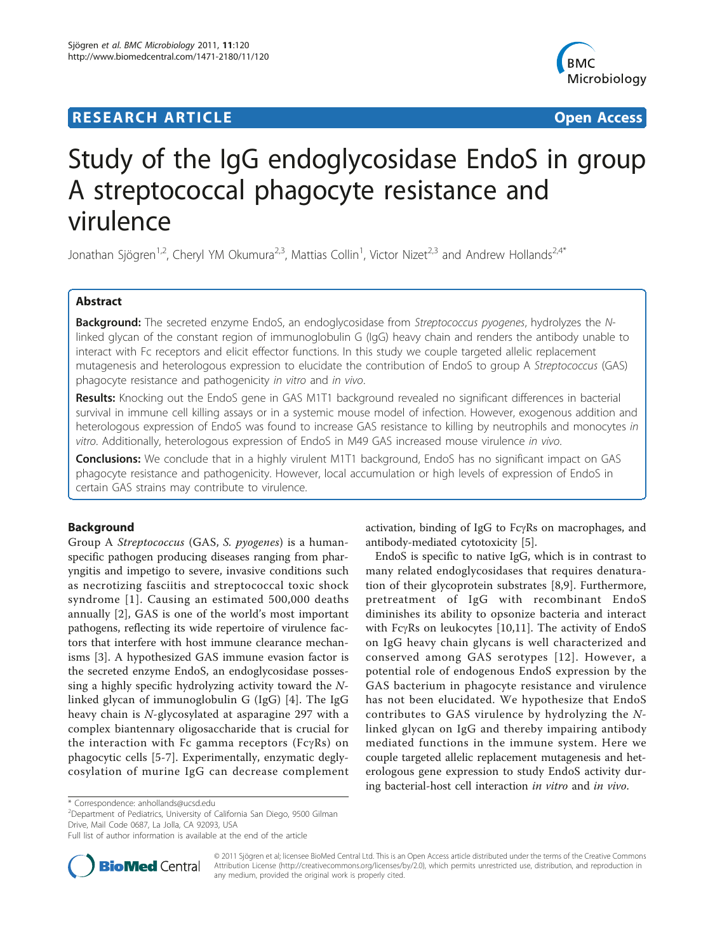## **RESEARCH ARTICLE Example 2018 CONSUMING ACCESS**



# Study of the IgG endoglycosidase EndoS in group A streptococcal phagocyte resistance and virulence

Jonathan Sjögren<sup>1,2</sup>, Cheryl YM Okumura<sup>2,3</sup>, Mattias Collin<sup>1</sup>, Victor Nizet<sup>2,3</sup> and Andrew Hollands<sup>2,4\*</sup>

## Abstract

Background: The secreted enzyme EndoS, an endoglycosidase from Streptococcus pyogenes, hydrolyzes the Nlinked glycan of the constant region of immunoglobulin G (IgG) heavy chain and renders the antibody unable to interact with Fc receptors and elicit effector functions. In this study we couple targeted allelic replacement mutagenesis and heterologous expression to elucidate the contribution of EndoS to group A Streptococcus (GAS) phagocyte resistance and pathogenicity in vitro and in vivo.

Results: Knocking out the EndoS gene in GAS M1T1 background revealed no significant differences in bacterial survival in immune cell killing assays or in a systemic mouse model of infection. However, exogenous addition and heterologous expression of EndoS was found to increase GAS resistance to killing by neutrophils and monocytes in vitro. Additionally, heterologous expression of EndoS in M49 GAS increased mouse virulence in vivo.

**Conclusions:** We conclude that in a highly virulent M1T1 background, EndoS has no significant impact on GAS phagocyte resistance and pathogenicity. However, local accumulation or high levels of expression of EndoS in certain GAS strains may contribute to virulence.

## Background

Group A Streptococcus (GAS, S. pyogenes) is a humanspecific pathogen producing diseases ranging from pharyngitis and impetigo to severe, invasive conditions such as necrotizing fasciitis and streptococcal toxic shock syndrome [[1\]](#page-5-0). Causing an estimated 500,000 deaths annually [[2\]](#page-5-0), GAS is one of the world's most important pathogens, reflecting its wide repertoire of virulence factors that interfere with host immune clearance mechanisms [[3\]](#page-5-0). A hypothesized GAS immune evasion factor is the secreted enzyme EndoS, an endoglycosidase possessing a highly specific hydrolyzing activity toward the Nlinked glycan of immunoglobulin G (IgG) [[4\]](#page-5-0). The IgG heavy chain is N-glycosylated at asparagine 297 with a complex biantennary oligosaccharide that is crucial for the interaction with Fc gamma receptors ( $Fc\gamma Rs$ ) on phagocytic cells [\[5](#page-5-0)-[7](#page-6-0)]. Experimentally, enzymatic deglycosylation of murine IgG can decrease complement

activation, binding of IgG to FcyRs on macrophages, and antibody-mediated cytotoxicity [\[5](#page-5-0)].

EndoS is specific to native IgG, which is in contrast to many related endoglycosidases that requires denaturation of their glycoprotein substrates [\[8](#page-6-0),[9\]](#page-6-0). Furthermore, pretreatment of IgG with recombinant EndoS diminishes its ability to opsonize bacteria and interact with Fc $\gamma$ Rs on leukocytes [[10,11\]](#page-6-0). The activity of EndoS on IgG heavy chain glycans is well characterized and conserved among GAS serotypes [[12](#page-6-0)]. However, a potential role of endogenous EndoS expression by the GAS bacterium in phagocyte resistance and virulence has not been elucidated. We hypothesize that EndoS contributes to GAS virulence by hydrolyzing the Nlinked glycan on IgG and thereby impairing antibody mediated functions in the immune system. Here we couple targeted allelic replacement mutagenesis and heterologous gene expression to study EndoS activity during bacterial-host cell interaction in vitro and in vivo.

<sup>2</sup> Department of Pediatrics, University of California San Diego, 9500 Gilman Drive, Mail Code 0687, La Jolla, CA 92093, USA

Full list of author information is available at the end of the article



© 2011 Sjögren et al; licensee BioMed Central Ltd. This is an Open Access article distributed under the terms of the Creative Commons Attribution License [\(http://creativecommons.org/licenses/by/2.0](http://creativecommons.org/licenses/by/2.0)), which permits unrestricted use, distribution, and reproduction in any medium, provided the original work is properly cited.

<sup>\*</sup> Correspondence: [anhollands@ucsd.edu](mailto:anhollands@ucsd.edu)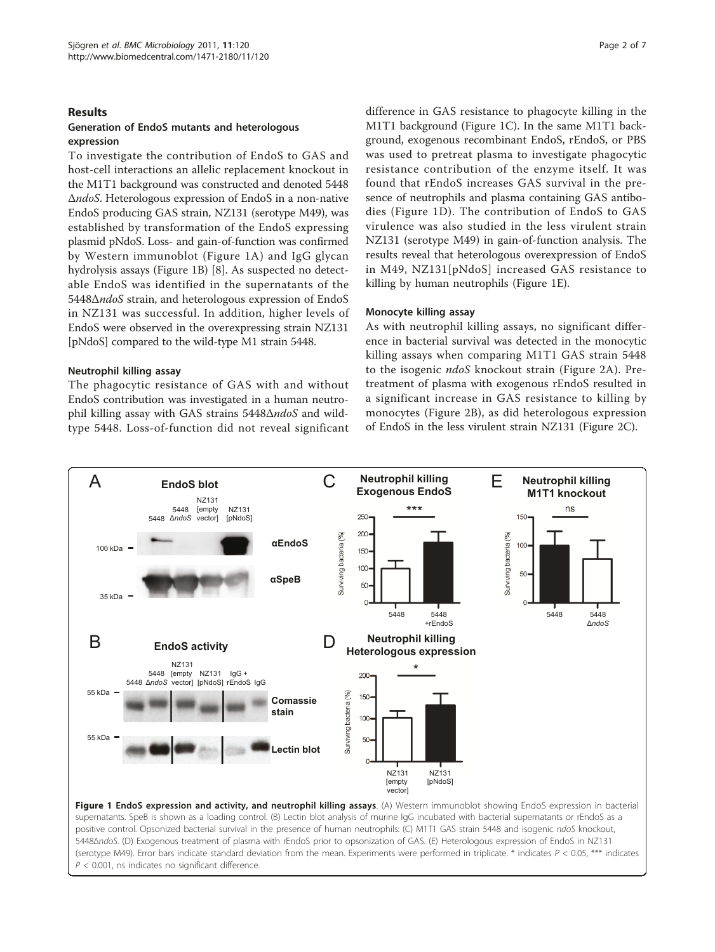#### <span id="page-1-0"></span>**Results**

## Generation of EndoS mutants and heterologous expression

To investigate the contribution of EndoS to GAS and host-cell interactions an allelic replacement knockout in the M1T1 background was constructed and denoted 5448 ΔndoS. Heterologous expression of EndoS in a non-native EndoS producing GAS strain, NZ131 (serotype M49), was established by transformation of the EndoS expressing plasmid pNdoS. Loss- and gain-of-function was confirmed by Western immunoblot (Figure 1A) and IgG glycan hydrolysis assays (Figure 1B) [[8](#page-6-0)]. As suspected no detectable EndoS was identified in the supernatants of the 5448ΔndoS strain, and heterologous expression of EndoS in NZ131 was successful. In addition, higher levels of EndoS were observed in the overexpressing strain NZ131 [pNdoS] compared to the wild-type M1 strain 5448.

#### Neutrophil killing assay

The phagocytic resistance of GAS with and without EndoS contribution was investigated in a human neutrophil killing assay with GAS strains 5448ΔndoS and wildtype 5448. Loss-of-function did not reveal significant

difference in GAS resistance to phagocyte killing in the M1T1 background (Figure 1C). In the same M1T1 background, exogenous recombinant EndoS, rEndoS, or PBS was used to pretreat plasma to investigate phagocytic resistance contribution of the enzyme itself. It was found that rEndoS increases GAS survival in the presence of neutrophils and plasma containing GAS antibodies (Figure 1D). The contribution of EndoS to GAS virulence was also studied in the less virulent strain NZ131 (serotype M49) in gain-of-function analysis. The results reveal that heterologous overexpression of EndoS in M49, NZ131[pNdoS] increased GAS resistance to killing by human neutrophils (Figure 1E).

#### Monocyte killing assay

As with neutrophil killing assays, no significant difference in bacterial survival was detected in the monocytic killing assays when comparing M1T1 GAS strain 5448 to the isogenic ndoS knockout strain (Figure [2A\)](#page-2-0). Pretreatment of plasma with exogenous rEndoS resulted in a significant increase in GAS resistance to killing by monocytes (Figure [2B](#page-2-0)), as did heterologous expression of EndoS in the less virulent strain NZ131 (Figure [2C\)](#page-2-0).

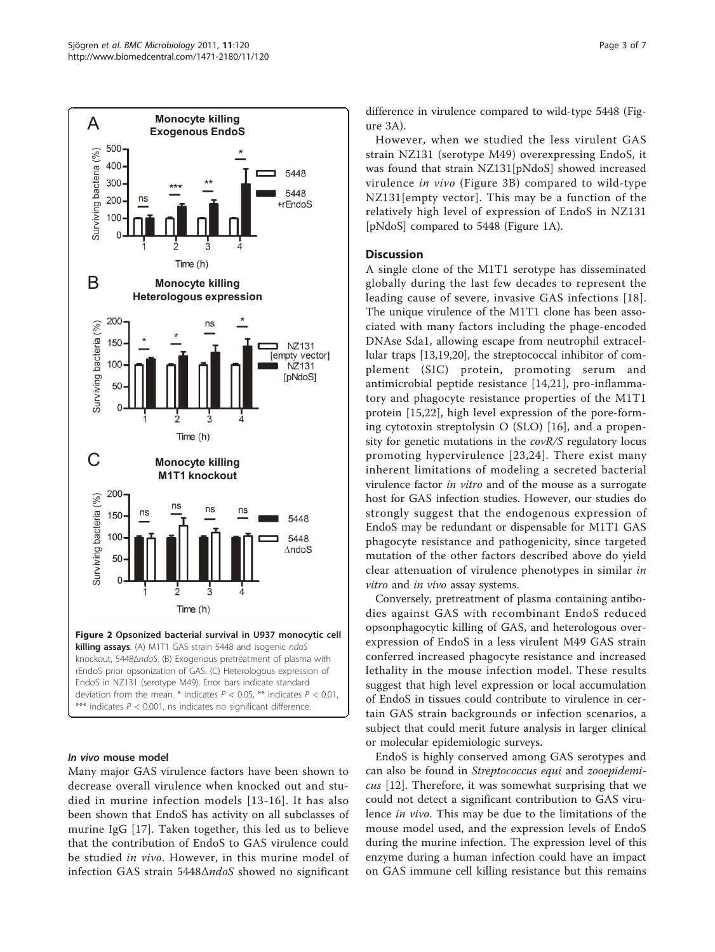<span id="page-2-0"></span>

#### In vivo mouse model

Many major GAS virulence factors have been shown to decrease overall virulence when knocked out and studied in murine infection models [[13-16](#page-6-0)]. It has also been shown that EndoS has activity on all subclasses of murine IgG [[17\]](#page-6-0). Taken together, this led us to believe that the contribution of EndoS to GAS virulence could be studied in vivo. However, in this murine model of infection GAS strain 5448ΔndoS showed no significant

difference in virulence compared to wild-type 5448 (Figure [3A](#page-3-0)).

However, when we studied the less virulent GAS strain NZ131 (serotype M49) overexpressing EndoS, it was found that strain NZ131[pNdoS] showed increased virulence in vivo (Figure [3B](#page-3-0)) compared to wild-type NZ131[empty vector]. This may be a function of the relatively high level of expression of EndoS in NZ131 [pNdoS] compared to 5448 (Figure [1A\)](#page-1-0).

## **Discussion**

A single clone of the M1T1 serotype has disseminated globally during the last few decades to represent the leading cause of severe, invasive GAS infections [[18\]](#page-6-0). The unique virulence of the M1T1 clone has been associated with many factors including the phage-encoded DNAse Sda1, allowing escape from neutrophil extracellular traps [[13,19,20](#page-6-0)], the streptococcal inhibitor of complement (SIC) protein, promoting serum and antimicrobial peptide resistance [[14,21\]](#page-6-0), pro-inflammatory and phagocyte resistance properties of the M1T1 protein [[15,22\]](#page-6-0), high level expression of the pore-forming cytotoxin streptolysin O (SLO) [\[16](#page-6-0)], and a propensity for genetic mutations in the covR/S regulatory locus promoting hypervirulence [[23](#page-6-0),[24](#page-6-0)]. There exist many inherent limitations of modeling a secreted bacterial virulence factor in vitro and of the mouse as a surrogate host for GAS infection studies. However, our studies do strongly suggest that the endogenous expression of EndoS may be redundant or dispensable for M1T1 GAS phagocyte resistance and pathogenicity, since targeted mutation of the other factors described above do yield clear attenuation of virulence phenotypes in similar in vitro and in vivo assay systems.

Conversely, pretreatment of plasma containing antibodies against GAS with recombinant EndoS reduced opsonphagocytic killing of GAS, and heterologous overexpression of EndoS in a less virulent M49 GAS strain conferred increased phagocyte resistance and increased lethality in the mouse infection model. These results suggest that high level expression or local accumulation of EndoS in tissues could contribute to virulence in certain GAS strain backgrounds or infection scenarios, a subject that could merit future analysis in larger clinical or molecular epidemiologic surveys.

EndoS is highly conserved among GAS serotypes and can also be found in Streptococcus equi and zooepidemicus [\[12](#page-6-0)]. Therefore, it was somewhat surprising that we could not detect a significant contribution to GAS virulence in vivo. This may be due to the limitations of the mouse model used, and the expression levels of EndoS during the murine infection. The expression level of this enzyme during a human infection could have an impact on GAS immune cell killing resistance but this remains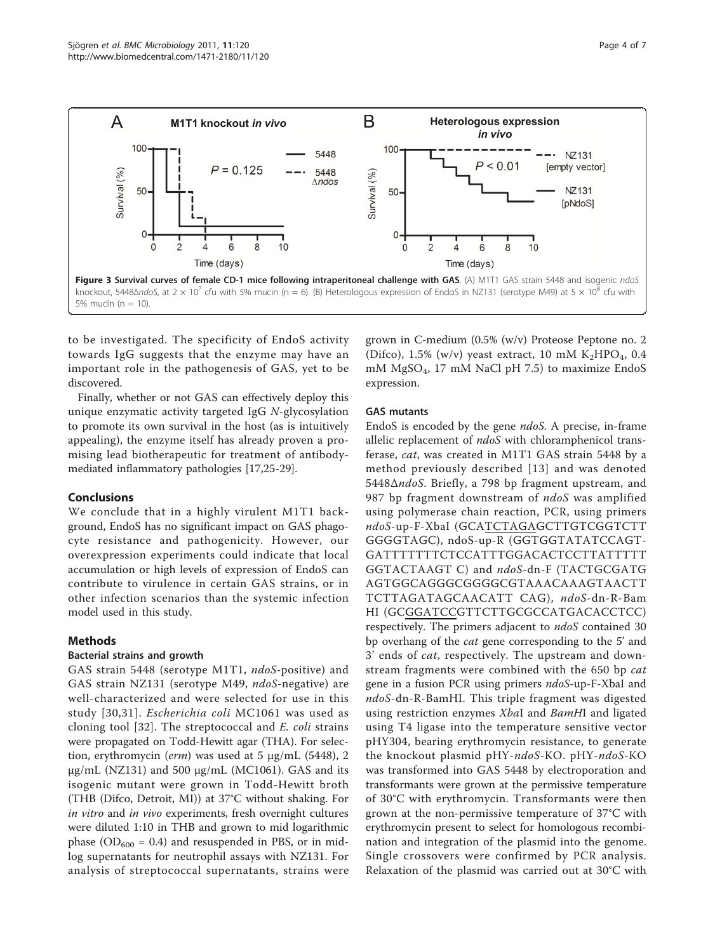<span id="page-3-0"></span>

to be investigated. The specificity of EndoS activity towards IgG suggests that the enzyme may have an important role in the pathogenesis of GAS, yet to be discovered.

Finally, whether or not GAS can effectively deploy this unique enzymatic activity targeted IgG N-glycosylation to promote its own survival in the host (as is intuitively appealing), the enzyme itself has already proven a promising lead biotherapeutic for treatment of antibodymediated inflammatory pathologies [[17](#page-6-0),[25](#page-6-0)-[29\]](#page-6-0).

## Conclusions

We conclude that in a highly virulent M1T1 background, EndoS has no significant impact on GAS phagocyte resistance and pathogenicity. However, our overexpression experiments could indicate that local accumulation or high levels of expression of EndoS can contribute to virulence in certain GAS strains, or in other infection scenarios than the systemic infection model used in this study.

## Methods

## Bacterial strains and growth

GAS strain 5448 (serotype M1T1, ndoS-positive) and GAS strain NZ131 (serotype M49, ndoS-negative) are well-characterized and were selected for use in this study [[30,31](#page-6-0)]. Escherichia coli MC1061 was used as cloning tool [[32](#page-6-0)]. The streptococcal and E. coli strains were propagated on Todd-Hewitt agar (THA). For selection, erythromycin (erm) was used at 5 μg/mL (5448), 2 μg/mL (NZ131) and 500 μg/mL (MC1061). GAS and its isogenic mutant were grown in Todd-Hewitt broth (THB (Difco, Detroit, MI)) at 37°C without shaking. For in vitro and in vivo experiments, fresh overnight cultures were diluted 1:10 in THB and grown to mid logarithmic phase ( $OD_{600} = 0.4$ ) and resuspended in PBS, or in midlog supernatants for neutrophil assays with NZ131. For analysis of streptococcal supernatants, strains were grown in C-medium (0.5% (w/v) Proteose Peptone no. 2 (Difco), 1.5% (w/v) yeast extract, 10 mM  $K_2HPO_4$ , 0.4 mM MgSO4, 17 mM NaCl pH 7.5) to maximize EndoS expression.

## GAS mutants

EndoS is encoded by the gene ndoS. A precise, in-frame allelic replacement of *ndoS* with chloramphenicol transferase, cat, was created in M1T1 GAS strain 5448 by a method previously described [[13](#page-6-0)] and was denoted 5448ΔndoS. Briefly, a 798 bp fragment upstream, and 987 bp fragment downstream of ndoS was amplified using polymerase chain reaction, PCR, using primers ndoS-up-F-XbaI (GCATCTAGAGCTTGTCGGTCTT GGGGTAGC), ndoS-up-R (GGTGGTATATCCAGT-GATTTTTTTCTCCATTTGGACACTCCTTATTTTT GGTACTAAGT C) and ndoS-dn-F (TACTGCGATG AGTGGCAGGGCGGGGCGTAAACAAAGTAACTT TCTTAGATAGCAACATT CAG), ndoS-dn-R-Bam HI (GCGGATCCGTTCTTGCGCCATGACACCTCC) respectively. The primers adjacent to ndoS contained 30 bp overhang of the cat gene corresponding to the 5' and 3' ends of cat, respectively. The upstream and downstream fragments were combined with the 650 bp cat gene in a fusion PCR using primers *ndoS-*up-F-XbaI and ndoS-dn-R-BamHI. This triple fragment was digested using restriction enzymes XbaI and BamHI and ligated using T4 ligase into the temperature sensitive vector pHY304, bearing erythromycin resistance, to generate the knockout plasmid pHY-ndoS-KO. pHY-ndoS-KO was transformed into GAS 5448 by electroporation and transformants were grown at the permissive temperature of 30°C with erythromycin. Transformants were then grown at the non-permissive temperature of 37°C with erythromycin present to select for homologous recombination and integration of the plasmid into the genome. Single crossovers were confirmed by PCR analysis. Relaxation of the plasmid was carried out at 30°C with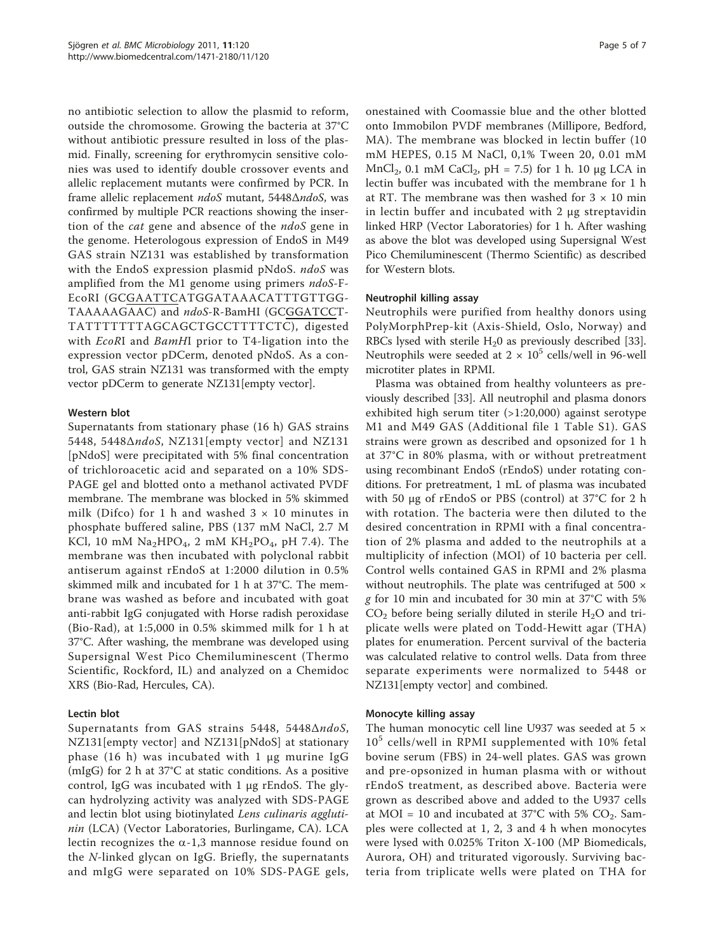no antibiotic selection to allow the plasmid to reform, outside the chromosome. Growing the bacteria at 37°C without antibiotic pressure resulted in loss of the plasmid. Finally, screening for erythromycin sensitive colonies was used to identify double crossover events and allelic replacement mutants were confirmed by PCR. In frame allelic replacement ndoS mutant, 5448ΔndoS, was confirmed by multiple PCR reactions showing the insertion of the *cat* gene and absence of the *ndoS* gene in the genome. Heterologous expression of EndoS in M49 GAS strain NZ131 was established by transformation with the EndoS expression plasmid pNdoS. ndoS was amplified from the M1 genome using primers ndoS-F-EcoRI (GCGAATTCATGGATAAACATTTGTTGG-TAAAAAGAAC) and ndoS-R-BamHI (GCGGATCCT-TATTTTTTTAGCAGCTGCCTTTTCTC), digested with *EcoRI* and *BamHI* prior to T4-ligation into the expression vector pDCerm, denoted pNdoS. As a control, GAS strain NZ131 was transformed with the empty vector pDCerm to generate NZ131[empty vector].

## Western blot

Supernatants from stationary phase (16 h) GAS strains 5448, 5448ΔndoS, NZ131[empty vector] and NZ131 [pNdoS] were precipitated with 5% final concentration of trichloroacetic acid and separated on a 10% SDS-PAGE gel and blotted onto a methanol activated PVDF membrane. The membrane was blocked in 5% skimmed milk (Difco) for 1 h and washed  $3 \times 10$  minutes in phosphate buffered saline, PBS (137 mM NaCl, 2.7 M KCl, 10 mM  $Na<sub>2</sub>HPO<sub>4</sub>$ , 2 mM  $KH<sub>2</sub>PO<sub>4</sub>$ , pH 7.4). The membrane was then incubated with polyclonal rabbit antiserum against rEndoS at 1:2000 dilution in 0.5% skimmed milk and incubated for 1 h at 37°C. The membrane was washed as before and incubated with goat anti-rabbit IgG conjugated with Horse radish peroxidase (Bio-Rad), at 1:5,000 in 0.5% skimmed milk for 1 h at 37°C. After washing, the membrane was developed using Supersignal West Pico Chemiluminescent (Thermo Scientific, Rockford, IL) and analyzed on a Chemidoc XRS (Bio-Rad, Hercules, CA).

## Lectin blot

Supernatants from GAS strains 5448, 5448ΔndoS, NZ131[empty vector] and NZ131[pNdoS] at stationary phase (16 h) was incubated with 1 μg murine IgG (mIgG) for 2 h at 37°C at static conditions. As a positive control, IgG was incubated with 1 μg rEndoS. The glycan hydrolyzing activity was analyzed with SDS-PAGE and lectin blot using biotinylated Lens culinaris agglutinin (LCA) (Vector Laboratories, Burlingame, CA). LCA lectin recognizes the  $\alpha$ -1,3 mannose residue found on the N-linked glycan on IgG. Briefly, the supernatants and mIgG were separated on 10% SDS-PAGE gels,

onestained with Coomassie blue and the other blotted onto Immobilon PVDF membranes (Millipore, Bedford, MA). The membrane was blocked in lectin buffer (10 mM HEPES, 0.15 M NaCl, 0,1% Tween 20, 0.01 mM  $MnCl<sub>2</sub>$ , 0.1 mM CaCl<sub>2</sub>, pH = 7.5) for 1 h. 10 μg LCA in lectin buffer was incubated with the membrane for 1 h at RT. The membrane was then washed for  $3 \times 10$  min in lectin buffer and incubated with 2 μg streptavidin linked HRP (Vector Laboratories) for 1 h. After washing as above the blot was developed using Supersignal West Pico Chemiluminescent (Thermo Scientific) as described for Western blots.

## Neutrophil killing assay

Neutrophils were purified from healthy donors using PolyMorphPrep-kit (Axis-Shield, Oslo, Norway) and RBCs lysed with sterile  $H_2$ 0 as previously described [[33](#page-6-0)]. Neutrophils were seeded at  $2 \times 10^5$  cells/well in 96-well microtiter plates in RPMI.

Plasma was obtained from healthy volunteers as previously described [\[33\]](#page-6-0). All neutrophil and plasma donors exhibited high serum titer (>1:20,000) against serotype M1 and M49 GAS (Additional file [1](#page-5-0) Table S1). GAS strains were grown as described and opsonized for 1 h at 37°C in 80% plasma, with or without pretreatment using recombinant EndoS (rEndoS) under rotating conditions. For pretreatment, 1 mL of plasma was incubated with 50 μg of rEndoS or PBS (control) at 37°C for 2 h with rotation. The bacteria were then diluted to the desired concentration in RPMI with a final concentration of 2% plasma and added to the neutrophils at a multiplicity of infection (MOI) of 10 bacteria per cell. Control wells contained GAS in RPMI and 2% plasma without neutrophils. The plate was centrifuged at 500 × g for 10 min and incubated for 30 min at 37°C with 5%  $CO<sub>2</sub>$  before being serially diluted in sterile  $H<sub>2</sub>O$  and triplicate wells were plated on Todd-Hewitt agar (THA) plates for enumeration. Percent survival of the bacteria was calculated relative to control wells. Data from three separate experiments were normalized to 5448 or NZ131[empty vector] and combined.

## Monocyte killing assay

The human monocytic cell line U937 was seeded at 5  $\times$ 10<sup>5</sup> cells/well in RPMI supplemented with 10% fetal bovine serum (FBS) in 24-well plates. GAS was grown and pre-opsonized in human plasma with or without rEndoS treatment, as described above. Bacteria were grown as described above and added to the U937 cells at MOI = 10 and incubated at 37°C with 5%  $CO_2$ . Samples were collected at 1, 2, 3 and 4 h when monocytes were lysed with 0.025% Triton X-100 (MP Biomedicals, Aurora, OH) and triturated vigorously. Surviving bacteria from triplicate wells were plated on THA for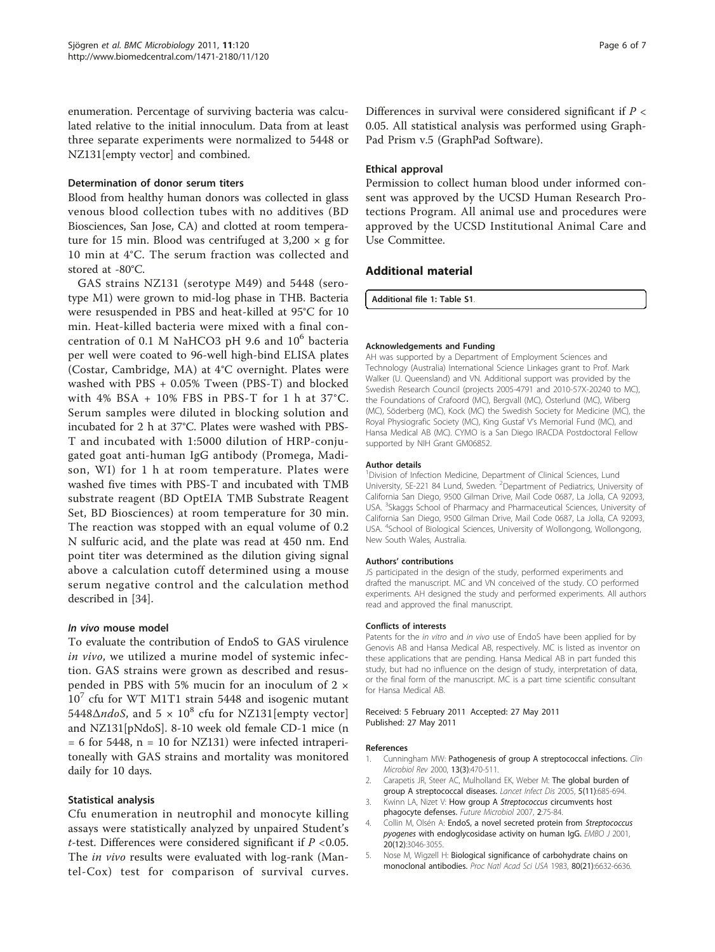<span id="page-5-0"></span>enumeration. Percentage of surviving bacteria was calculated relative to the initial innoculum. Data from at least three separate experiments were normalized to 5448 or NZ131<sup>[empty vector]</sup> and combined.

#### Determination of donor serum titers

Blood from healthy human donors was collected in glass venous blood collection tubes with no additives (BD Biosciences, San Jose, CA) and clotted at room temperature for 15 min. Blood was centrifuged at  $3,200 \times g$  for 10 min at 4°C. The serum fraction was collected and stored at -80°C.

GAS strains NZ131 (serotype M49) and 5448 (serotype M1) were grown to mid-log phase in THB. Bacteria were resuspended in PBS and heat-killed at 95°C for 10 min. Heat-killed bacteria were mixed with a final concentration of 0.1 M NaHCO3 pH 9.6 and 10<sup>6</sup> bacteria per well were coated to 96-well high-bind ELISA plates (Costar, Cambridge, MA) at 4°C overnight. Plates were washed with PBS + 0.05% Tween (PBS-T) and blocked with 4% BSA + 10% FBS in PBS-T for 1 h at 37°C. Serum samples were diluted in blocking solution and incubated for 2 h at 37°C. Plates were washed with PBS-T and incubated with 1:5000 dilution of HRP-conjugated goat anti-human IgG antibody (Promega, Madison, WI) for 1 h at room temperature. Plates were washed five times with PBS-T and incubated with TMB substrate reagent (BD OptEIA TMB Substrate Reagent Set, BD Biosciences) at room temperature for 30 min. The reaction was stopped with an equal volume of 0.2 N sulfuric acid, and the plate was read at 450 nm. End point titer was determined as the dilution giving signal above a calculation cutoff determined using a mouse serum negative control and the calculation method described in [[34\]](#page-6-0).

#### In vivo mouse model

To evaluate the contribution of EndoS to GAS virulence in vivo, we utilized a murine model of systemic infection. GAS strains were grown as described and resuspended in PBS with 5% mucin for an inoculum of 2 ×  $10<sup>7</sup>$  cfu for WT M1T1 strain 5448 and isogenic mutant 5448 $\Delta$ *ndoS*, and 5  $\times$  10<sup>8</sup> cfu for NZ131[empty vector] and NZ131[pNdoS]. 8-10 week old female CD-1 mice (n  $= 6$  for 5448, n = 10 for NZ131) were infected intraperitoneally with GAS strains and mortality was monitored daily for 10 days.

## Statistical analysis

Cfu enumeration in neutrophil and monocyte killing assays were statistically analyzed by unpaired Student's *t*-test. Differences were considered significant if  $P < 0.05$ . The in vivo results were evaluated with log-rank (Mantel-Cox) test for comparison of survival curves.

Differences in survival were considered significant if  $P \lt \theta$ 0.05. All statistical analysis was performed using Graph-Pad Prism v.5 (GraphPad Software).

#### Ethical approval

Permission to collect human blood under informed consent was approved by the UCSD Human Research Protections Program. All animal use and procedures were approved by the UCSD Institutional Animal Care and Use Committee.

## Additional material

[Additional file 1: T](http://www.biomedcentral.com/content/supplementary/1471-2180-11-120-S1.PDF)able S1.

#### Acknowledgements and Funding

AH was supported by a Department of Employment Sciences and Technology (Australia) International Science Linkages grant to Prof. Mark Walker (U. Queensland) and VN. Additional support was provided by the Swedish Research Council (projects 2005-4791 and 2010-57X-20240 to MC), the Foundations of Crafoord (MC), Bergvall (MC), Österlund (MC), Wiberg (MC), Söderberg (MC), Kock (MC) the Swedish Society for Medicine (MC), the Royal Physiografic Society (MC), King Gustaf V's Memorial Fund (MC), and Hansa Medical AB (MC). CYMO is a San Diego IRACDA Postdoctoral Fellow supported by NIH Grant GM06852.

#### Author details

<sup>1</sup> Division of Infection Medicine, Department of Clinical Sciences, Lund University, SE-221 84 Lund, Sweden. <sup>2</sup>Department of Pediatrics, University of California San Diego, 9500 Gilman Drive, Mail Code 0687, La Jolla, CA 92093, USA. <sup>3</sup>Skaggs School of Pharmacy and Pharmaceutical Sciences, University of California San Diego, 9500 Gilman Drive, Mail Code 0687, La Jolla, CA 92093, USA. <sup>4</sup>School of Biological Sciences, University of Wollongong, Wollongong, New South Wales, Australia.

#### Authors' contributions

JS participated in the design of the study, performed experiments and drafted the manuscript. MC and VN conceived of the study. CO performed experiments. AH designed the study and performed experiments. All authors read and approved the final manuscript.

#### Conflicts of interests

Patents for the in vitro and in vivo use of EndoS have been applied for by Genovis AB and Hansa Medical AB, respectively. MC is listed as inventor on these applications that are pending. Hansa Medical AB in part funded this study, but had no influence on the design of study, interpretation of data, or the final form of the manuscript. MC is a part time scientific consultant for Hansa Medical AB.

#### Received: 5 February 2011 Accepted: 27 May 2011 Published: 27 May 2011

#### References

- 1. Cunningham MW: [Pathogenesis of group A streptococcal infections.](http://www.ncbi.nlm.nih.gov/pubmed/10885988?dopt=Abstract) Clin Microbiol Rev 2000, 13(3):470-511.
- 2. Carapetis JR, Steer AC, Mulholland EK, Weber M: [The global burden of](http://www.ncbi.nlm.nih.gov/pubmed/16253886?dopt=Abstract) [group A streptococcal diseases.](http://www.ncbi.nlm.nih.gov/pubmed/16253886?dopt=Abstract) Lancet Infect Dis 2005, 5(11):685-694.
- 3. Kwinn LA, Nizet V: How group A Streptococcus [circumvents host](http://www.ncbi.nlm.nih.gov/pubmed/17661677?dopt=Abstract) [phagocyte defenses.](http://www.ncbi.nlm.nih.gov/pubmed/17661677?dopt=Abstract) Future Microbiol 2007, 2:75-84.
- 4. Collin M, Olsén A: [EndoS, a novel secreted protein from](http://www.ncbi.nlm.nih.gov/pubmed/11406581?dopt=Abstract) Streptococcus pyogenes [with endoglycosidase activity on human IgG.](http://www.ncbi.nlm.nih.gov/pubmed/11406581?dopt=Abstract) EMBO J 2001, 20(12):3046-3055.
- 5. Nose M, Wigzell H: [Biological significance of carbohydrate chains on](http://www.ncbi.nlm.nih.gov/pubmed/6579549?dopt=Abstract) [monoclonal antibodies.](http://www.ncbi.nlm.nih.gov/pubmed/6579549?dopt=Abstract) Proc Natl Acad Sci USA 1983, 80(21):6632-6636.